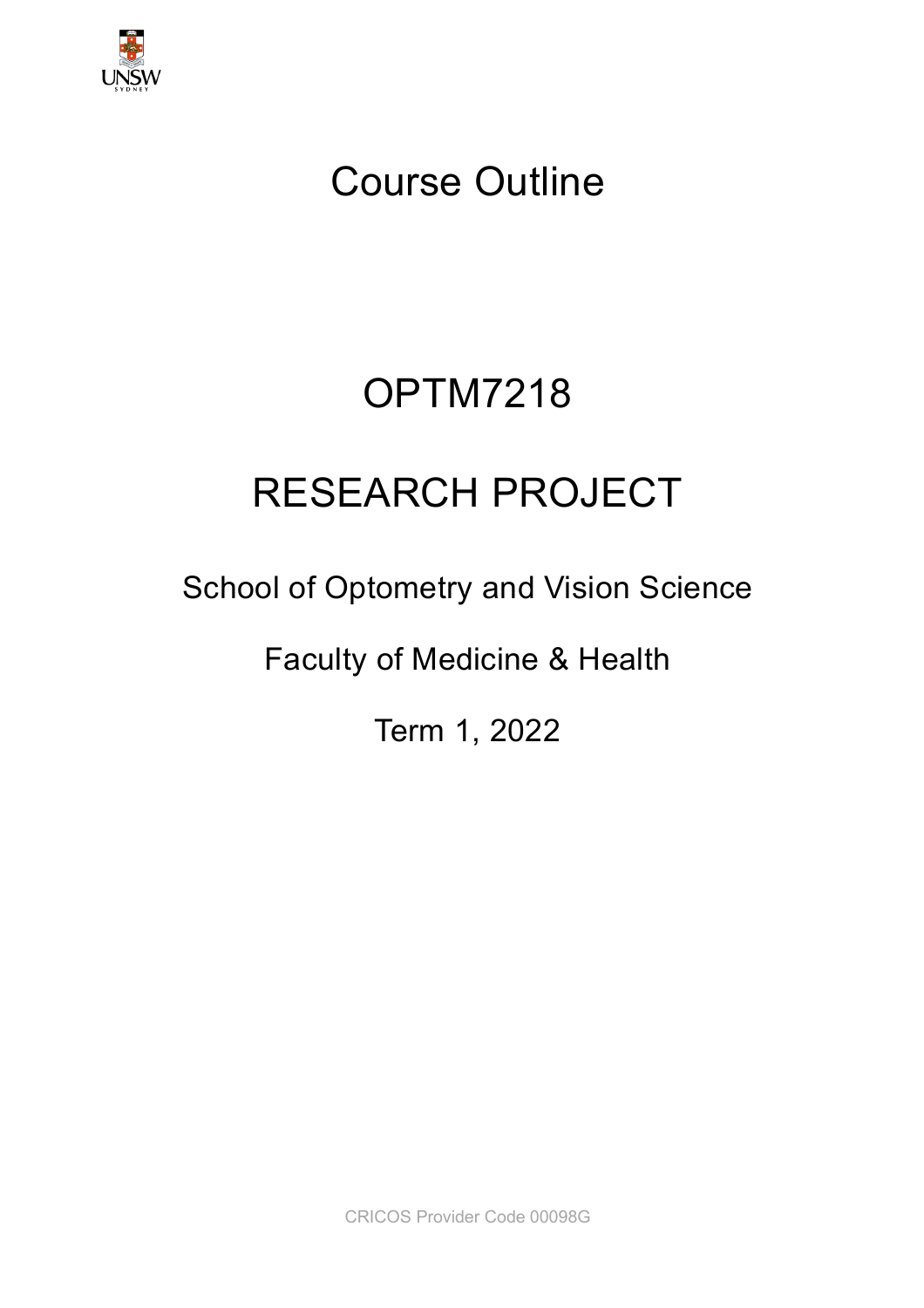

# Course Outline

# OPTM7218

# RESEARCH PROJECT

# School of Optometry and Vision Science

Faculty of Medicine & Health

Term 1, 2022

CRICOS Provider Code 00098G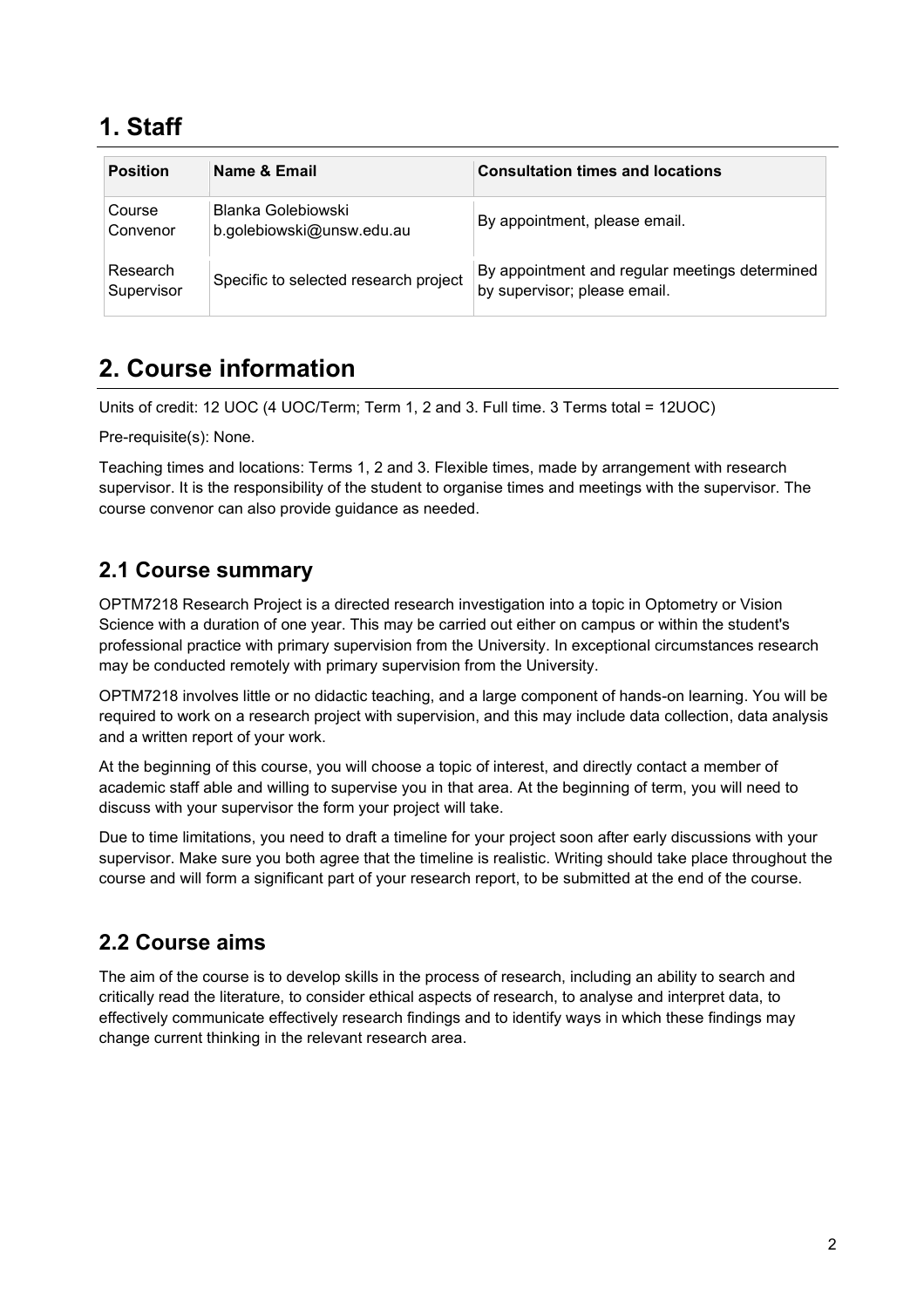### **1. Staff**

| <b>Position</b>        | Name & Email                                    | <b>Consultation times and locations</b>                                        |
|------------------------|-------------------------------------------------|--------------------------------------------------------------------------------|
| Course<br>Convenor     | Blanka Golebiowski<br>b.golebiowski@unsw.edu.au | By appointment, please email.                                                  |
| Research<br>Supervisor | Specific to selected research project           | By appointment and regular meetings determined<br>by supervisor; please email. |

### **2. Course information**

Units of credit: 12 UOC (4 UOC/Term; Term 1, 2 and 3. Full time. 3 Terms total = 12UOC)

Pre-requisite(s): None.

Teaching times and locations: Terms 1, 2 and 3. Flexible times, made by arrangement with research supervisor. It is the responsibility of the student to organise times and meetings with the supervisor. The course convenor can also provide guidance as needed.

#### **2.1 Course summary**

OPTM7218 Research Project is a directed research investigation into a topic in Optometry or Vision Science with a duration of one year. This may be carried out either on campus or within the student's professional practice with primary supervision from the University. In exceptional circumstances research may be conducted remotely with primary supervision from the University.

OPTM7218 involves little or no didactic teaching, and a large component of hands-on learning. You will be required to work on a research project with supervision, and this may include data collection, data analysis and a written report of your work.

At the beginning of this course, you will choose a topic of interest, and directly contact a member of academic staff able and willing to supervise you in that area. At the beginning of term, you will need to discuss with your supervisor the form your project will take.

Due to time limitations, you need to draft a timeline for your project soon after early discussions with your supervisor. Make sure you both agree that the timeline is realistic. Writing should take place throughout the course and will form a significant part of your research report, to be submitted at the end of the course.

#### **2.2 Course aims**

The aim of the course is to develop skills in the process of research, including an ability to search and critically read the literature, to consider ethical aspects of research, to analyse and interpret data, to effectively communicate effectively research findings and to identify ways in which these findings may change current thinking in the relevant research area.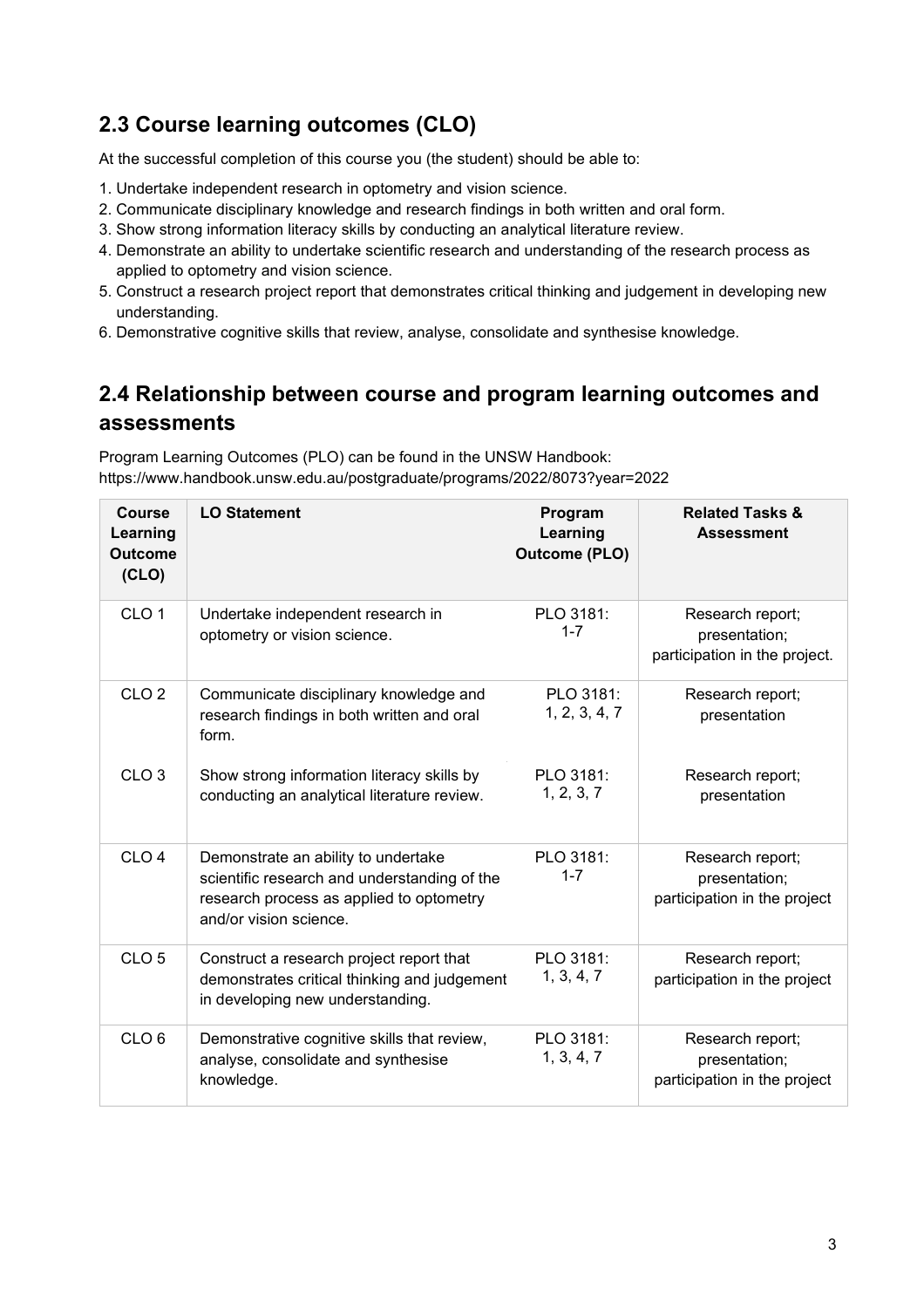#### **2.3 Course learning outcomes (CLO)**

At the successful completion of this course you (the student) should be able to:

- 1. Undertake independent research in optometry and vision science.
- 2. Communicate disciplinary knowledge and research findings in both written and oral form.
- 3. Show strong information literacy skills by conducting an analytical literature review.
- 4. Demonstrate an ability to undertake scientific research and understanding of the research process as applied to optometry and vision science.
- 5. Construct a research project report that demonstrates critical thinking and judgement in developing new understanding.
- 6. Demonstrative cognitive skills that review, analyse, consolidate and synthesise knowledge.

#### **2.4 Relationship between course and program learning outcomes and assessments**

Program Learning Outcomes (PLO) can be found in the UNSW Handbook: https://www.handbook.unsw.edu.au/postgraduate/programs/2022/8073?year=2022

| <b>Course</b><br>Learning<br><b>Outcome</b><br>(CLO) | <b>LO Statement</b>                                                                                                                                       | Program<br>Learning<br><b>Outcome (PLO)</b> | <b>Related Tasks &amp;</b><br><b>Assessment</b>                    |
|------------------------------------------------------|-----------------------------------------------------------------------------------------------------------------------------------------------------------|---------------------------------------------|--------------------------------------------------------------------|
| CLO <sub>1</sub>                                     | Undertake independent research in<br>optometry or vision science.                                                                                         | PLO 3181:<br>$1 - 7$                        | Research report;<br>presentation;<br>participation in the project. |
| CLO <sub>2</sub>                                     | Communicate disciplinary knowledge and<br>research findings in both written and oral<br>form.                                                             | PLO 3181:<br>1, 2, 3, 4, 7                  | Research report;<br>presentation                                   |
| CLO <sub>3</sub>                                     | Show strong information literacy skills by<br>conducting an analytical literature review.                                                                 | PLO 3181:<br>1, 2, 3, 7                     | Research report;<br>presentation                                   |
| CLO <sub>4</sub>                                     | Demonstrate an ability to undertake<br>scientific research and understanding of the<br>research process as applied to optometry<br>and/or vision science. | PLO 3181:<br>$1 - 7$                        | Research report;<br>presentation;<br>participation in the project  |
| CLO <sub>5</sub>                                     | Construct a research project report that<br>demonstrates critical thinking and judgement<br>in developing new understanding.                              | PLO 3181:<br>1, 3, 4, 7                     | Research report;<br>participation in the project                   |
| CLO <sub>6</sub>                                     | Demonstrative cognitive skills that review,<br>analyse, consolidate and synthesise<br>knowledge.                                                          | PLO 3181:<br>1, 3, 4, 7                     | Research report;<br>presentation;<br>participation in the project  |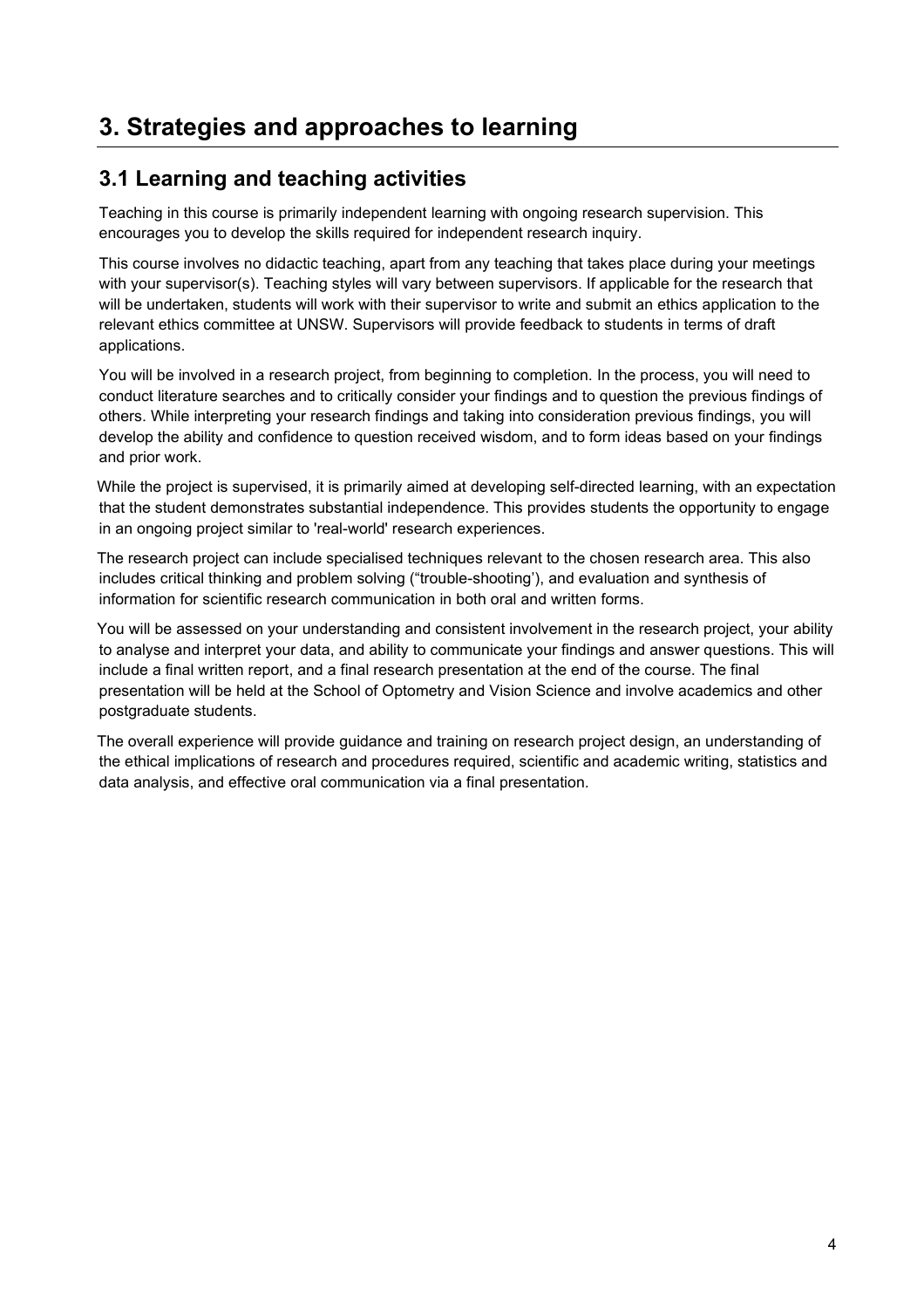### **3. Strategies and approaches to learning**

#### **3.1 Learning and teaching activities**

Teaching in this course is primarily independent learning with ongoing research supervision. This encourages you to develop the skills required for independent research inquiry.

This course involves no didactic teaching, apart from any teaching that takes place during your meetings with your supervisor(s). Teaching styles will vary between supervisors. If applicable for the research that will be undertaken, students will work with their supervisor to write and submit an ethics application to the relevant ethics committee at UNSW. Supervisors will provide feedback to students in terms of draft applications.

You will be involved in a research project, from beginning to completion. In the process, you will need to conduct literature searches and to critically consider your findings and to question the previous findings of others. While interpreting your research findings and taking into consideration previous findings, you will develop the ability and confidence to question received wisdom, and to form ideas based on your findings and prior work.

While the project is supervised, it is primarily aimed at developing self-directed learning, with an expectation that the student demonstrates substantial independence. This provides students the opportunity to engage in an ongoing project similar to 'real-world' research experiences.

The research project can include specialised techniques relevant to the chosen research area. This also includes critical thinking and problem solving ("trouble-shooting'), and evaluation and synthesis of information for scientific research communication in both oral and written forms.

You will be assessed on your understanding and consistent involvement in the research project, your ability to analyse and interpret your data, and ability to communicate your findings and answer questions. This will include a final written report, and a final research presentation at the end of the course. The final presentation will be held at the School of Optometry and Vision Science and involve academics and other postgraduate students.

The overall experience will provide guidance and training on research project design, an understanding of the ethical implications of research and procedures required, scientific and academic writing, statistics and data analysis, and effective oral communication via a final presentation.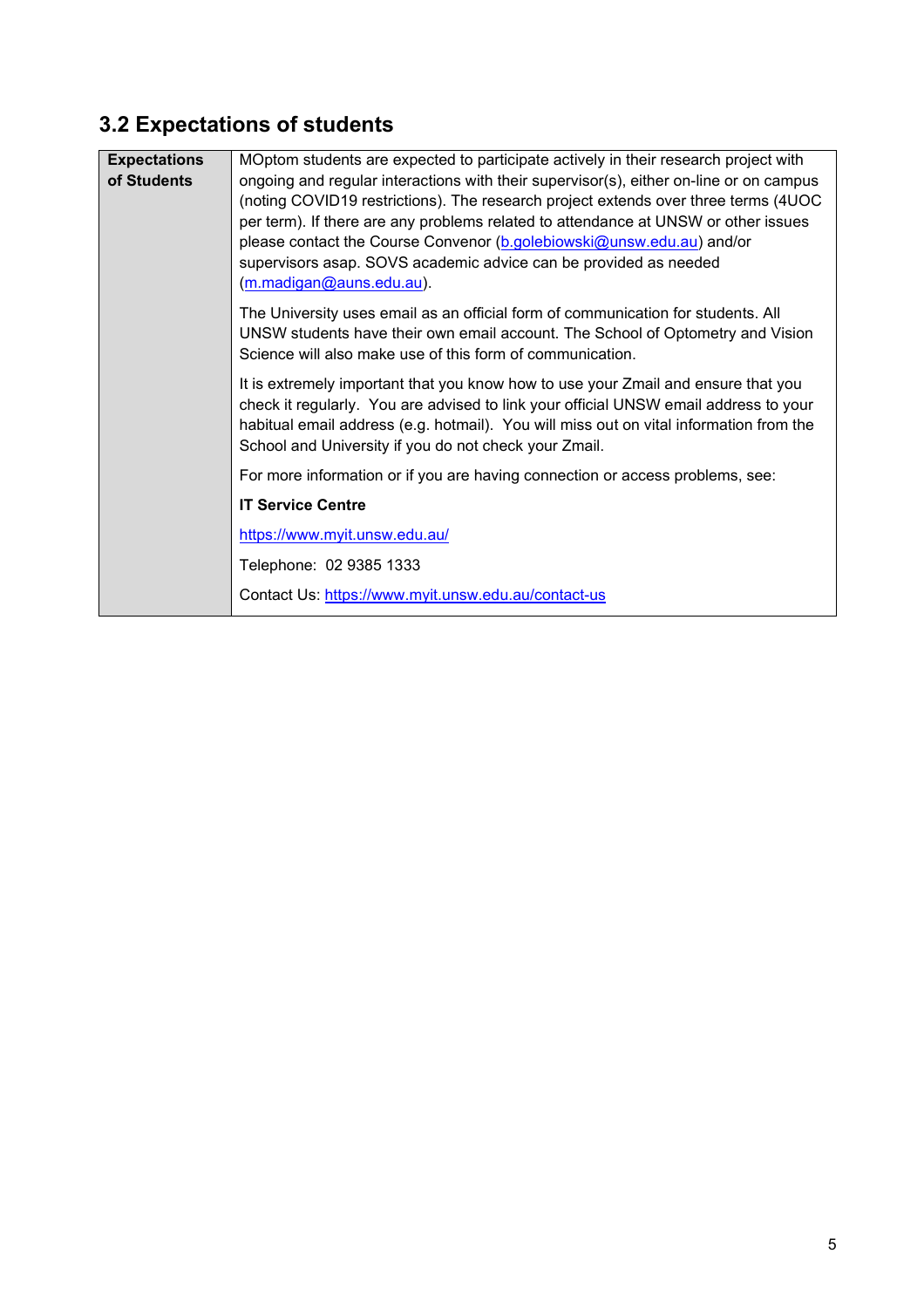## **3.2 Expectations of students**

| <b>Expectations</b> | MOptom students are expected to participate actively in their research project with                                                                                                                                                                                                                                                                                                                                                         |
|---------------------|---------------------------------------------------------------------------------------------------------------------------------------------------------------------------------------------------------------------------------------------------------------------------------------------------------------------------------------------------------------------------------------------------------------------------------------------|
| of Students         | ongoing and regular interactions with their supervisor(s), either on-line or on campus<br>(noting COVID19 restrictions). The research project extends over three terms (4UOC<br>per term). If there are any problems related to attendance at UNSW or other issues<br>please contact the Course Convenor (b.golebiowski@unsw.edu.au) and/or<br>supervisors asap. SOVS academic advice can be provided as needed<br>(m.madigan@auns.edu.au). |
|                     | The University uses email as an official form of communication for students. All<br>UNSW students have their own email account. The School of Optometry and Vision<br>Science will also make use of this form of communication.                                                                                                                                                                                                             |
|                     | It is extremely important that you know how to use your Zmail and ensure that you<br>check it regularly. You are advised to link your official UNSW email address to your<br>habitual email address (e.g. hotmail). You will miss out on vital information from the<br>School and University if you do not check your Zmail.                                                                                                                |
|                     | For more information or if you are having connection or access problems, see:                                                                                                                                                                                                                                                                                                                                                               |
|                     | <b>IT Service Centre</b>                                                                                                                                                                                                                                                                                                                                                                                                                    |
|                     | https://www.myit.unsw.edu.au/                                                                                                                                                                                                                                                                                                                                                                                                               |
|                     | Telephone: 02 9385 1333                                                                                                                                                                                                                                                                                                                                                                                                                     |
|                     | Contact Us: https://www.myit.unsw.edu.au/contact-us                                                                                                                                                                                                                                                                                                                                                                                         |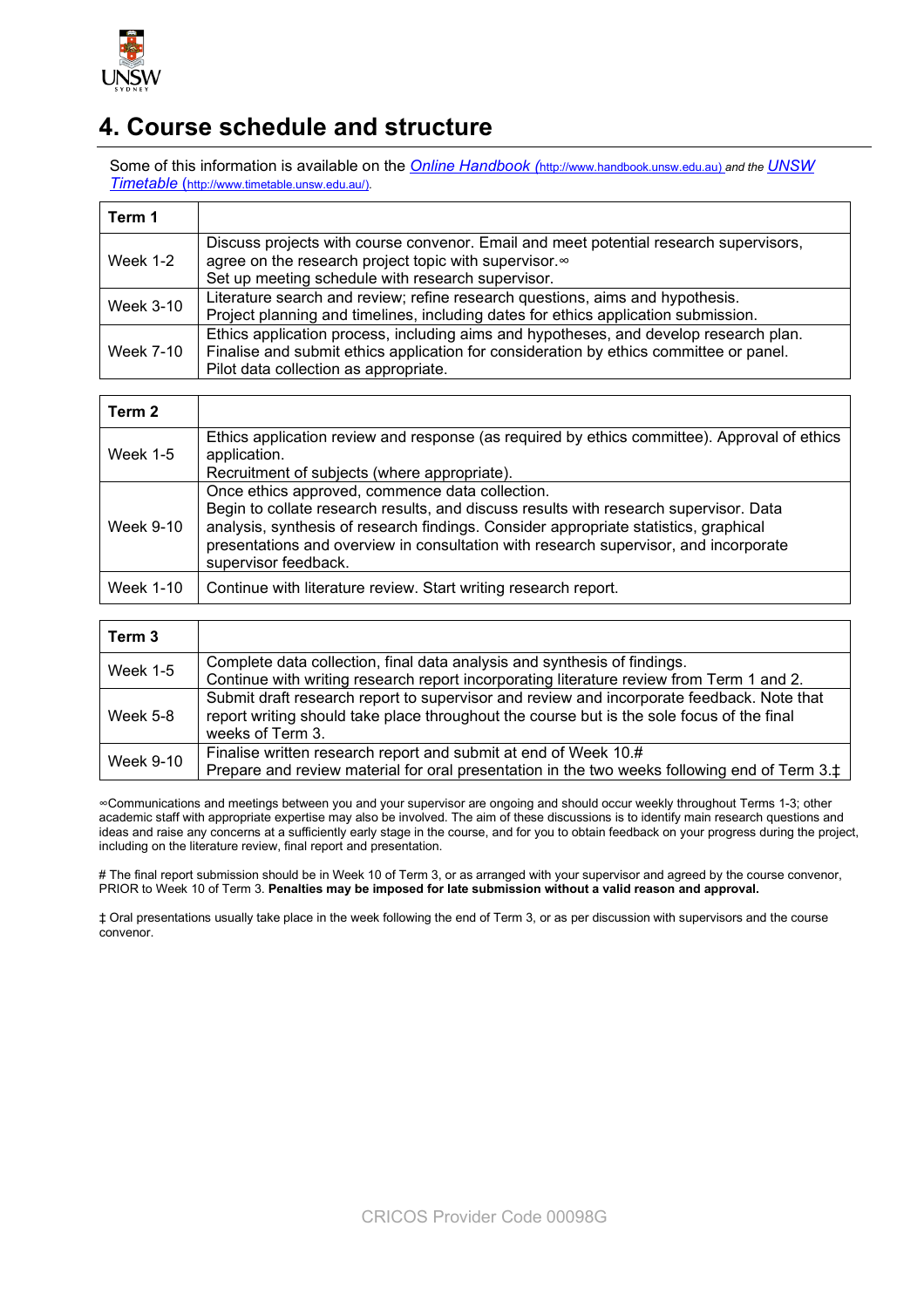

### **4. Course schedule and structure**

Some of this information is available on the *Online Handbook (*http://www.handbook.unsw.edu.au) *and the UNSW Timetable* [\(http://www.timetable.unsw.edu.au/\)](http://www.timetable.unsw.edu.au/).

| Term 1           |                                                                                                                                                |
|------------------|------------------------------------------------------------------------------------------------------------------------------------------------|
| <b>Week 1-2</b>  | Discuss projects with course convenor. Email and meet potential research supervisors,<br>agree on the research project topic with supervisor.∞ |
|                  | Set up meeting schedule with research supervisor.                                                                                              |
| <b>Week 3-10</b> | Literature search and review; refine research questions, aims and hypothesis.                                                                  |
|                  | Project planning and timelines, including dates for ethics application submission.                                                             |
|                  | Ethics application process, including aims and hypotheses, and develop research plan.                                                          |
| Week 7-10        | Finalise and submit ethics application for consideration by ethics committee or panel.                                                         |
|                  | Pilot data collection as appropriate.                                                                                                          |

| Term 2          |                                                                                                                                                                                                                                                                                                                                                  |
|-----------------|--------------------------------------------------------------------------------------------------------------------------------------------------------------------------------------------------------------------------------------------------------------------------------------------------------------------------------------------------|
| <b>Week 1-5</b> | Ethics application review and response (as required by ethics committee). Approval of ethics<br>application.<br>Recruitment of subjects (where appropriate).                                                                                                                                                                                     |
| Week 9-10       | Once ethics approved, commence data collection.<br>Begin to collate research results, and discuss results with research supervisor. Data<br>analysis, synthesis of research findings. Consider appropriate statistics, graphical<br>presentations and overview in consultation with research supervisor, and incorporate<br>supervisor feedback. |
| Week 1-10       | Continue with literature review. Start writing research report.                                                                                                                                                                                                                                                                                  |

| Term 3          |                                                                                                                                                                                                            |
|-----------------|------------------------------------------------------------------------------------------------------------------------------------------------------------------------------------------------------------|
| <b>Week 1-5</b> | Complete data collection, final data analysis and synthesis of findings.<br>Continue with writing research report incorporating literature review from Term 1 and 2.                                       |
| <b>Week 5-8</b> | Submit draft research report to supervisor and review and incorporate feedback. Note that<br>report writing should take place throughout the course but is the sole focus of the final<br>weeks of Term 3. |
| Week 9-10       | Finalise written research report and submit at end of Week 10.#<br>Prepare and review material for oral presentation in the two weeks following end of Term 3.‡                                            |

∞Communications and meetings between you and your supervisor are ongoing and should occur weekly throughout Terms 1-3; other academic staff with appropriate expertise may also be involved. The aim of these discussions is to identify main research questions and ideas and raise any concerns at a sufficiently early stage in the course, and for you to obtain feedback on your progress during the project, including on the literature review, final report and presentation.

# The final report submission should be in Week 10 of Term 3, or as arranged with your supervisor and agreed by the course convenor, PRIOR to Week 10 of Term 3. **Penalties may be imposed for late submission without a valid reason and approval.** 

‡ Oral presentations usually take place in the week following the end of Term 3, or as per discussion with supervisors and the course convenor.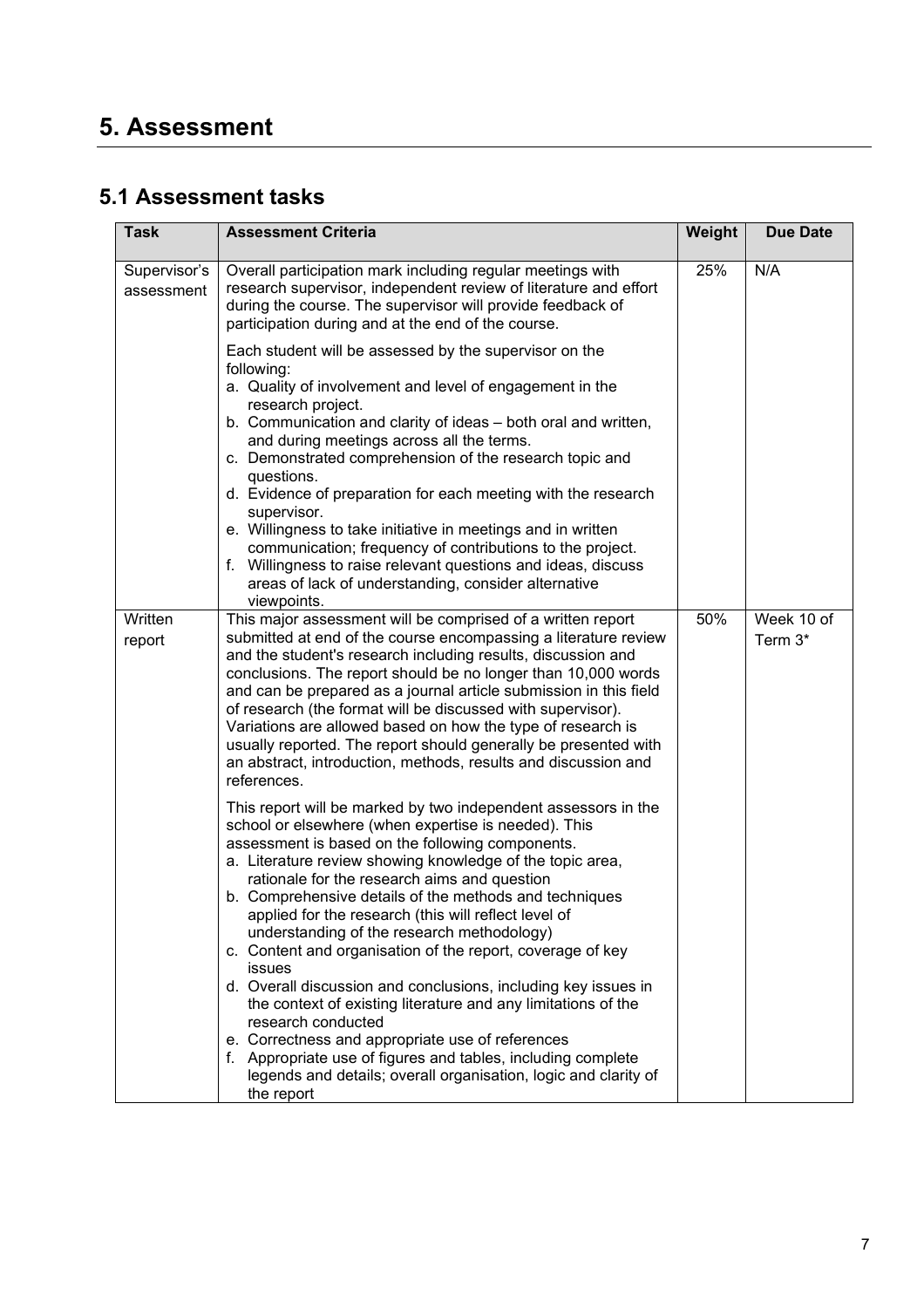## **5. Assessment**

#### **5.1 Assessment tasks**

| <b>Task</b>                | <b>Assessment Criteria</b>                                                                                                                                                                                                                                                                                                                                                                                                                                                                                                                                                                                                                                                                         | Weight | <b>Due Date</b>       |
|----------------------------|----------------------------------------------------------------------------------------------------------------------------------------------------------------------------------------------------------------------------------------------------------------------------------------------------------------------------------------------------------------------------------------------------------------------------------------------------------------------------------------------------------------------------------------------------------------------------------------------------------------------------------------------------------------------------------------------------|--------|-----------------------|
| Supervisor's<br>assessment | Overall participation mark including regular meetings with<br>research supervisor, independent review of literature and effort<br>during the course. The supervisor will provide feedback of<br>participation during and at the end of the course.                                                                                                                                                                                                                                                                                                                                                                                                                                                 | 25%    | N/A                   |
|                            | Each student will be assessed by the supervisor on the<br>following:<br>a. Quality of involvement and level of engagement in the<br>research project.<br>b. Communication and clarity of ideas - both oral and written,<br>and during meetings across all the terms.<br>c. Demonstrated comprehension of the research topic and<br>questions.<br>d. Evidence of preparation for each meeting with the research<br>supervisor.<br>e. Willingness to take initiative in meetings and in written<br>communication; frequency of contributions to the project.<br>f. Willingness to raise relevant questions and ideas, discuss<br>areas of lack of understanding, consider alternative<br>viewpoints. |        |                       |
| Written<br>report          | This major assessment will be comprised of a written report<br>submitted at end of the course encompassing a literature review<br>and the student's research including results, discussion and<br>conclusions. The report should be no longer than 10,000 words<br>and can be prepared as a journal article submission in this field<br>of research (the format will be discussed with supervisor).<br>Variations are allowed based on how the type of research is<br>usually reported. The report should generally be presented with<br>an abstract, introduction, methods, results and discussion and<br>references.                                                                             | 50%    | Week 10 of<br>Term 3* |
|                            | This report will be marked by two independent assessors in the<br>school or elsewhere (when expertise is needed). This<br>assessment is based on the following components.<br>a. Literature review showing knowledge of the topic area,<br>rationale for the research aims and question<br>b. Comprehensive details of the methods and techniques<br>applied for the research (this will reflect level of<br>understanding of the research methodology)<br>c. Content and organisation of the report, coverage of key<br><b>issues</b><br>d. Overall discussion and conclusions, including key issues in<br>the context of existing literature and any limitations of the<br>research conducted    |        |                       |
|                            | e. Correctness and appropriate use of references<br>f. Appropriate use of figures and tables, including complete<br>legends and details; overall organisation, logic and clarity of<br>the report                                                                                                                                                                                                                                                                                                                                                                                                                                                                                                  |        |                       |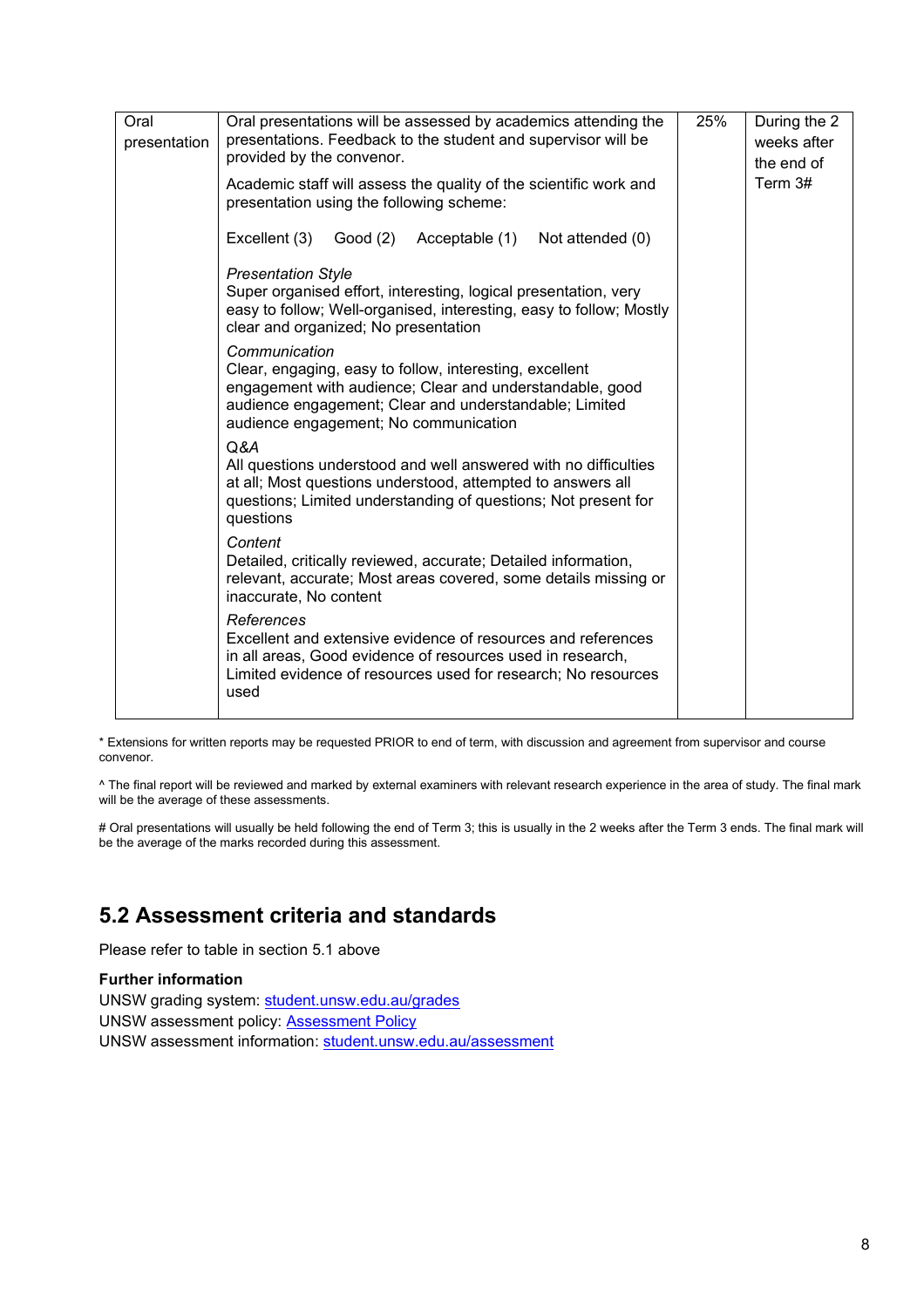| Oral<br>presentation | Oral presentations will be assessed by academics attending the<br>presentations. Feedback to the student and supervisor will be<br>provided by the convenor.                                                                            |  | During the 2<br>weeks after<br>the end of |
|----------------------|-----------------------------------------------------------------------------------------------------------------------------------------------------------------------------------------------------------------------------------------|--|-------------------------------------------|
|                      | Academic staff will assess the quality of the scientific work and<br>presentation using the following scheme:                                                                                                                           |  | Term 3#                                   |
|                      | Excellent (3)<br>Good (2) Acceptable (1)<br>Not attended (0)                                                                                                                                                                            |  |                                           |
|                      | <b>Presentation Style</b><br>Super organised effort, interesting, logical presentation, very<br>easy to follow; Well-organised, interesting, easy to follow; Mostly<br>clear and organized; No presentation                             |  |                                           |
|                      | Communication<br>Clear, engaging, easy to follow, interesting, excellent<br>engagement with audience; Clear and understandable, good<br>audience engagement; Clear and understandable; Limited<br>audience engagement; No communication |  |                                           |
|                      | Q&A<br>All questions understood and well answered with no difficulties<br>at all; Most questions understood, attempted to answers all<br>questions; Limited understanding of questions; Not present for<br>questions                    |  |                                           |
|                      | Content<br>Detailed, critically reviewed, accurate; Detailed information,<br>relevant, accurate; Most areas covered, some details missing or<br>inaccurate, No content                                                                  |  |                                           |
|                      | References<br>Excellent and extensive evidence of resources and references<br>in all areas, Good evidence of resources used in research,<br>Limited evidence of resources used for research; No resources<br>used                       |  |                                           |

\* Extensions for written reports may be requested PRIOR to end of term, with discussion and agreement from supervisor and course convenor.

^ The final report will be reviewed and marked by external examiners with relevant research experience in the area of study. The final mark will be the average of these assessments.

# Oral presentations will usually be held following the end of Term 3; this is usually in the 2 weeks after the Term 3 ends. The final mark will be the average of the marks recorded during this assessment.

#### **5.2 Assessment criteria and standards**

Please refer to table in section 5.1 above

#### **Further information**

UNSW grading system: [student.unsw.edu.au/grades](https://student.unsw.edu.au/grades) UNSW assessment policy: [Assessment Policy](https://www.gs.unsw.edu.au/policy/documents/assessmentpolicy.pdf) UNSW assessment information: [student.unsw.edu.au/assessment](https://student.unsw.edu.au/assessment)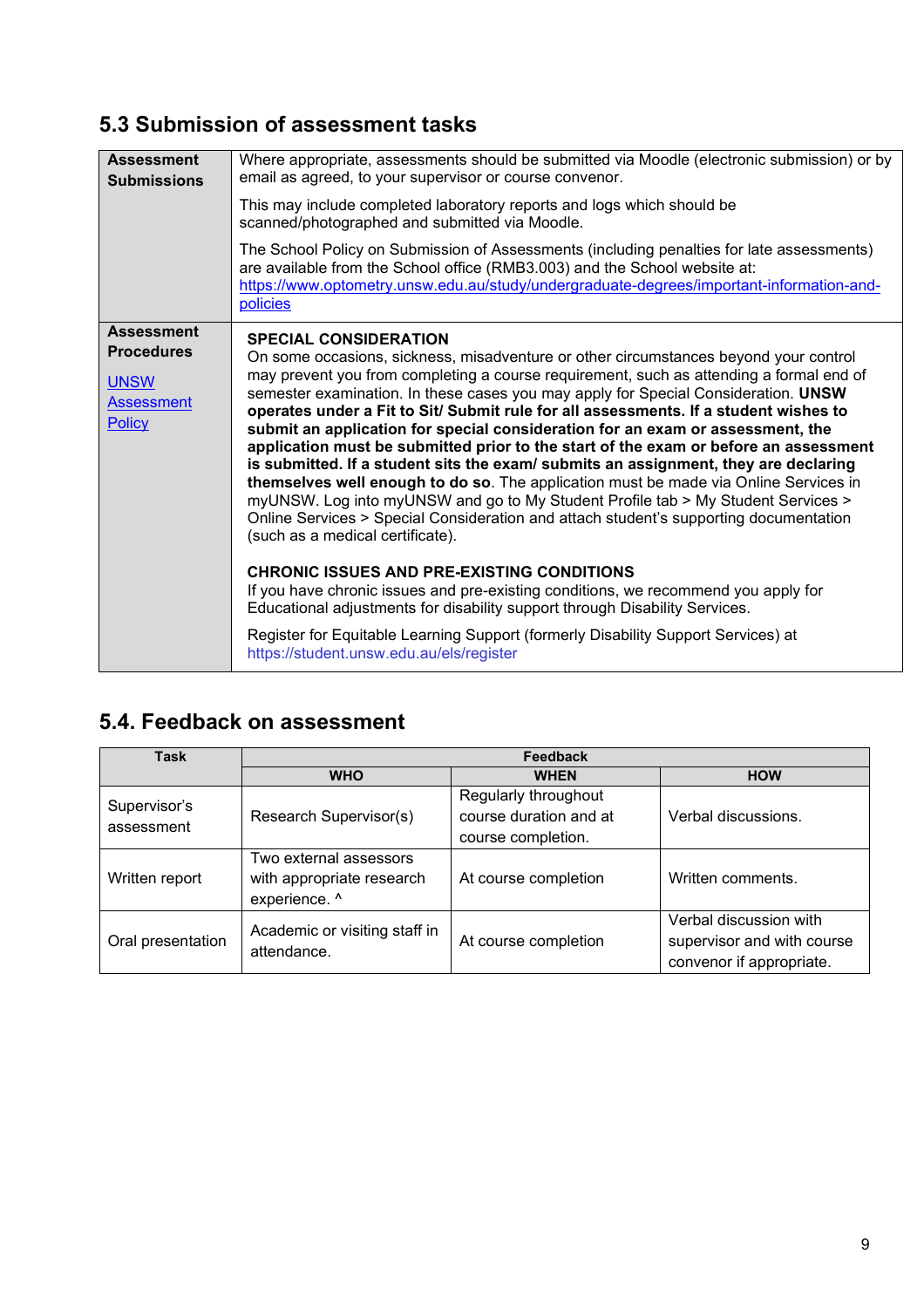### **5.3 Submission of assessment tasks**

| <b>Assessment</b><br><b>Submissions</b>    | Where appropriate, assessments should be submitted via Moodle (electronic submission) or by<br>email as agreed, to your supervisor or course convenor.                                                                                                                                                                                                                                                                                                                                                                                                                                                                                                                                                                                                                                                                                          |
|--------------------------------------------|-------------------------------------------------------------------------------------------------------------------------------------------------------------------------------------------------------------------------------------------------------------------------------------------------------------------------------------------------------------------------------------------------------------------------------------------------------------------------------------------------------------------------------------------------------------------------------------------------------------------------------------------------------------------------------------------------------------------------------------------------------------------------------------------------------------------------------------------------|
|                                            | This may include completed laboratory reports and logs which should be<br>scanned/photographed and submitted via Moodle.                                                                                                                                                                                                                                                                                                                                                                                                                                                                                                                                                                                                                                                                                                                        |
|                                            | The School Policy on Submission of Assessments (including penalties for late assessments)<br>are available from the School office (RMB3.003) and the School website at:<br>https://www.optometry.unsw.edu.au/study/undergraduate-degrees/important-information-and-<br>policies                                                                                                                                                                                                                                                                                                                                                                                                                                                                                                                                                                 |
| <b>Assessment</b>                          | <b>SPECIAL CONSIDERATION</b>                                                                                                                                                                                                                                                                                                                                                                                                                                                                                                                                                                                                                                                                                                                                                                                                                    |
| <b>Procedures</b>                          | On some occasions, sickness, misadventure or other circumstances beyond your control                                                                                                                                                                                                                                                                                                                                                                                                                                                                                                                                                                                                                                                                                                                                                            |
| <b>UNSW</b><br><b>Assessment</b><br>Policy | may prevent you from completing a course requirement, such as attending a formal end of<br>semester examination. In these cases you may apply for Special Consideration. UNSW<br>operates under a Fit to Sit/ Submit rule for all assessments. If a student wishes to<br>submit an application for special consideration for an exam or assessment, the<br>application must be submitted prior to the start of the exam or before an assessment<br>is submitted. If a student sits the exam/ submits an assignment, they are declaring<br>themselves well enough to do so. The application must be made via Online Services in<br>myUNSW. Log into myUNSW and go to My Student Profile tab > My Student Services ><br>Online Services > Special Consideration and attach student's supporting documentation<br>(such as a medical certificate). |
|                                            | <b>CHRONIC ISSUES AND PRE-EXISTING CONDITIONS</b><br>If you have chronic issues and pre-existing conditions, we recommend you apply for<br>Educational adjustments for disability support through Disability Services.                                                                                                                                                                                                                                                                                                                                                                                                                                                                                                                                                                                                                          |
|                                            | Register for Equitable Learning Support (formerly Disability Support Services) at<br>https://student.unsw.edu.au/els/register                                                                                                                                                                                                                                                                                                                                                                                                                                                                                                                                                                                                                                                                                                                   |

### **5.4. Feedback on assessment**

| <b>Task</b>                | Feedback                                                             |                                                                      |                                                                                  |  |
|----------------------------|----------------------------------------------------------------------|----------------------------------------------------------------------|----------------------------------------------------------------------------------|--|
|                            | <b>WHO</b>                                                           | <b>WHEN</b>                                                          | <b>HOW</b>                                                                       |  |
| Supervisor's<br>assessment | Research Supervisor(s)                                               | Regularly throughout<br>course duration and at<br>course completion. | Verbal discussions.                                                              |  |
| Written report             | Two external assessors<br>with appropriate research<br>experience. ^ | At course completion                                                 | Written comments.                                                                |  |
| Oral presentation          | Academic or visiting staff in<br>attendance.                         | At course completion                                                 | Verbal discussion with<br>supervisor and with course<br>convenor if appropriate. |  |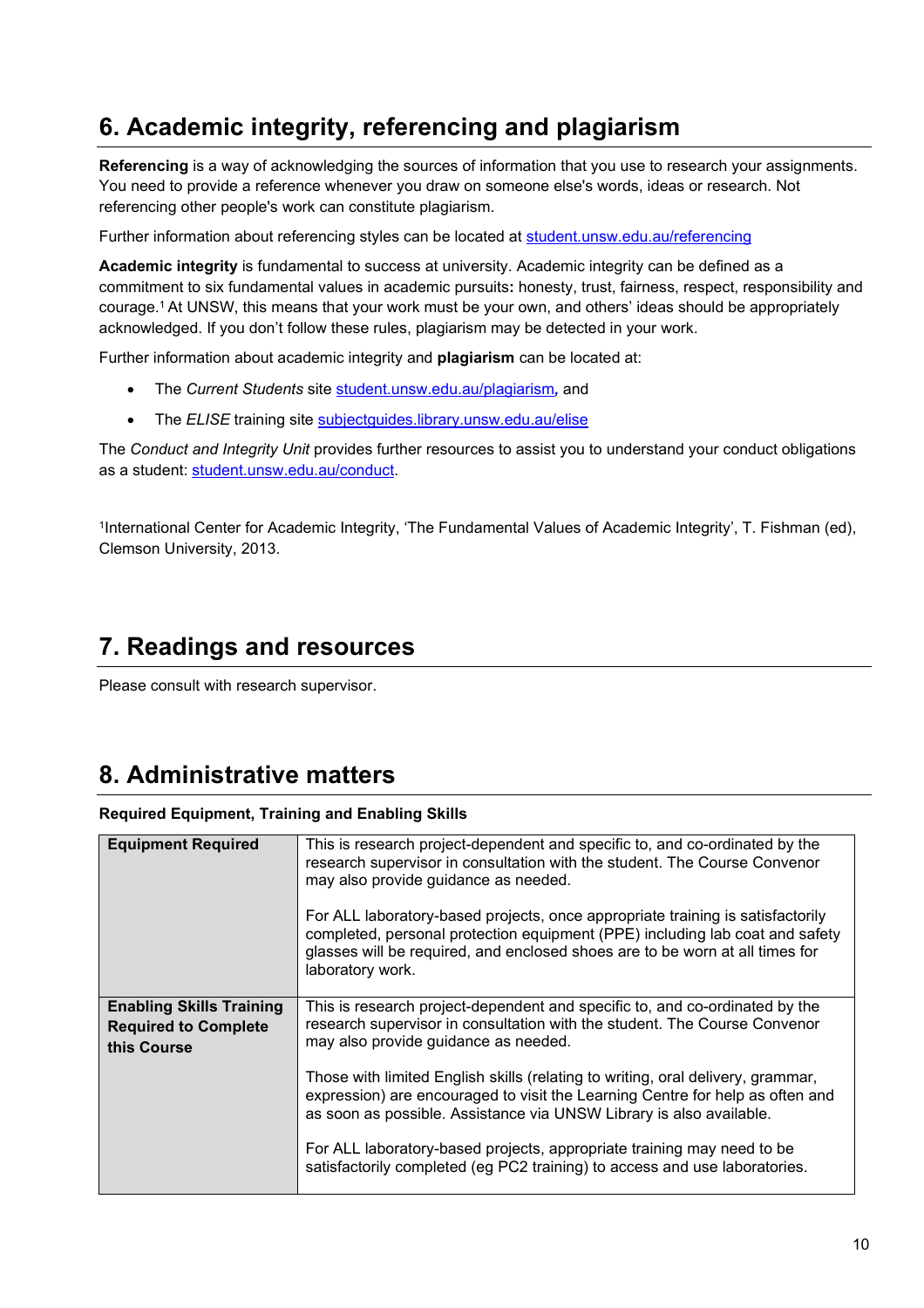## **6. Academic integrity, referencing and plagiarism**

**Referencing** is a way of acknowledging the sources of information that you use to research your assignments. You need to provide a reference whenever you draw on someone else's words, ideas or research. Not referencing other people's work can constitute plagiarism.

Further information about referencing styles can be located at [student.unsw.edu.au/referencing](https://student.unsw.edu.au/referencing)

**Academic integrity** is fundamental to success at university. Academic integrity can be defined as a commitment to six fundamental values in academic pursuits**:** honesty, trust, fairness, respect, responsibility and courage. <sup>1</sup> At UNSW, this means that your work must be your own, and others' ideas should be appropriately acknowledged. If you don't follow these rules, plagiarism may be detected in your work.

Further information about academic integrity and **plagiarism** can be located at:

- The *Current Students* site [student.unsw.edu.au/plagiarism](https://student.unsw.edu.au/plagiarism)*,* and
- The *ELISE* training site [subjectguides.library.unsw.edu.au/elise](http://subjectguides.library.unsw.edu.au/elise)

The *Conduct and Integrity Unit* provides further resources to assist you to understand your conduct obligations as a student: [student.unsw.edu.au/conduct.](https://student.unsw.edu.au/conduct)

1International Center for Academic Integrity, 'The Fundamental Values of Academic Integrity', T. Fishman (ed), Clemson University, 2013.

### **7. Readings and resources**

Please consult with research supervisor.

### **8. Administrative matters**

#### **Required Equipment, Training and Enabling Skills**

| <b>Equipment Required</b>                                                     | This is research project-dependent and specific to, and co-ordinated by the<br>research supervisor in consultation with the student. The Course Convenor<br>may also provide guidance as needed.<br>For ALL laboratory-based projects, once appropriate training is satisfactorily<br>completed, personal protection equipment (PPE) including lab coat and safety<br>glasses will be required, and enclosed shoes are to be worn at all times for<br>laboratory work. |
|-------------------------------------------------------------------------------|------------------------------------------------------------------------------------------------------------------------------------------------------------------------------------------------------------------------------------------------------------------------------------------------------------------------------------------------------------------------------------------------------------------------------------------------------------------------|
| <b>Enabling Skills Training</b><br><b>Required to Complete</b><br>this Course | This is research project-dependent and specific to, and co-ordinated by the<br>research supervisor in consultation with the student. The Course Convenor<br>may also provide guidance as needed.                                                                                                                                                                                                                                                                       |
|                                                                               | Those with limited English skills (relating to writing, oral delivery, grammar,<br>expression) are encouraged to visit the Learning Centre for help as often and<br>as soon as possible. Assistance via UNSW Library is also available.                                                                                                                                                                                                                                |
|                                                                               | For ALL laboratory-based projects, appropriate training may need to be<br>satisfactorily completed (eg PC2 training) to access and use laboratories.                                                                                                                                                                                                                                                                                                                   |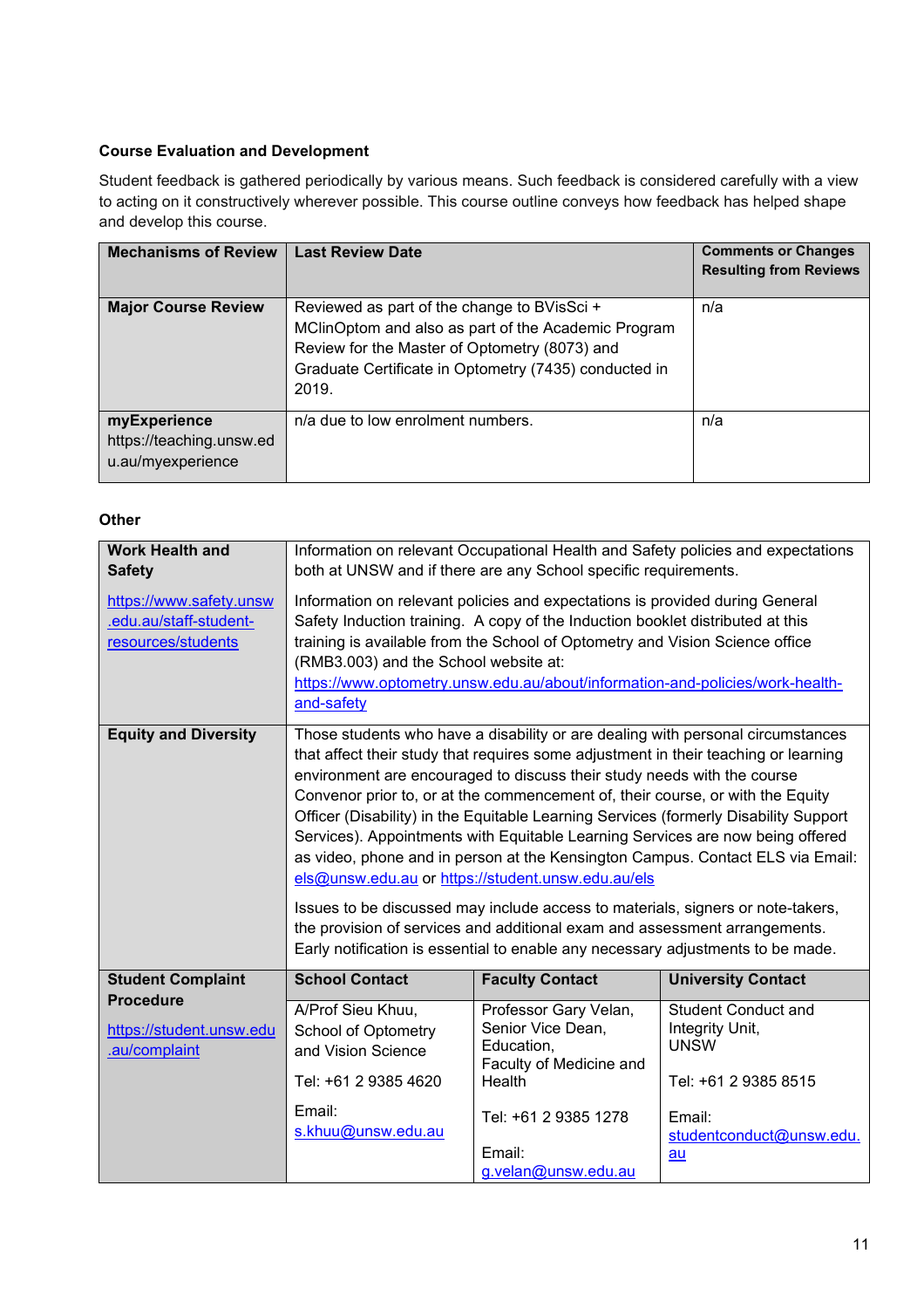#### **Course Evaluation and Development**

Student feedback is gathered periodically by various means. Such feedback is considered carefully with a view to acting on it constructively wherever possible. This course outline conveys how feedback has helped shape and develop this course.

| <b>Mechanisms of Review</b>                                   | <b>Last Review Date</b>                                                                                                                                                                                               | <b>Comments or Changes</b><br><b>Resulting from Reviews</b> |
|---------------------------------------------------------------|-----------------------------------------------------------------------------------------------------------------------------------------------------------------------------------------------------------------------|-------------------------------------------------------------|
| <b>Major Course Review</b>                                    | Reviewed as part of the change to BVisSci +<br>MClinOptom and also as part of the Academic Program<br>Review for the Master of Optometry (8073) and<br>Graduate Certificate in Optometry (7435) conducted in<br>2019. | n/a                                                         |
| myExperience<br>https://teaching.unsw.ed<br>u.au/myexperience | n/a due to low enrolment numbers.                                                                                                                                                                                     | n/a                                                         |

#### **Other**

| <b>Work Health and</b><br><b>Safety</b>                                 | Information on relevant Occupational Health and Safety policies and expectations<br>both at UNSW and if there are any School specific requirements.                                                                                                                                                                                                                                                                                                                                                                                                                                                                                                                                                                                                                                                                                                                                                       |                                                                                               |                                                                                      |  |
|-------------------------------------------------------------------------|-----------------------------------------------------------------------------------------------------------------------------------------------------------------------------------------------------------------------------------------------------------------------------------------------------------------------------------------------------------------------------------------------------------------------------------------------------------------------------------------------------------------------------------------------------------------------------------------------------------------------------------------------------------------------------------------------------------------------------------------------------------------------------------------------------------------------------------------------------------------------------------------------------------|-----------------------------------------------------------------------------------------------|--------------------------------------------------------------------------------------|--|
| https://www.safety.unsw<br>.edu.au/staff-student-<br>resources/students | Information on relevant policies and expectations is provided during General<br>Safety Induction training. A copy of the Induction booklet distributed at this<br>training is available from the School of Optometry and Vision Science office<br>(RMB3.003) and the School website at:<br>https://www.optometry.unsw.edu.au/about/information-and-policies/work-health-<br>and-safety                                                                                                                                                                                                                                                                                                                                                                                                                                                                                                                    |                                                                                               |                                                                                      |  |
| <b>Equity and Diversity</b>                                             | Those students who have a disability or are dealing with personal circumstances<br>that affect their study that requires some adjustment in their teaching or learning<br>environment are encouraged to discuss their study needs with the course<br>Convenor prior to, or at the commencement of, their course, or with the Equity<br>Officer (Disability) in the Equitable Learning Services (formerly Disability Support<br>Services). Appointments with Equitable Learning Services are now being offered<br>as video, phone and in person at the Kensington Campus. Contact ELS via Email:<br>els@unsw.edu.au or https://student.unsw.edu.au/els<br>Issues to be discussed may include access to materials, signers or note-takers,<br>the provision of services and additional exam and assessment arrangements.<br>Early notification is essential to enable any necessary adjustments to be made. |                                                                                               |                                                                                      |  |
| <b>Student Complaint</b>                                                | <b>School Contact</b>                                                                                                                                                                                                                                                                                                                                                                                                                                                                                                                                                                                                                                                                                                                                                                                                                                                                                     | <b>Faculty Contact</b>                                                                        | <b>University Contact</b>                                                            |  |
| <b>Procedure</b><br>https://student.unsw.edu<br>.au/complaint           | A/Prof Sieu Khuu,<br><b>School of Optometry</b><br>and Vision Science<br>Tel: +61 2 9385 4620                                                                                                                                                                                                                                                                                                                                                                                                                                                                                                                                                                                                                                                                                                                                                                                                             | Professor Gary Velan,<br>Senior Vice Dean,<br>Education,<br>Faculty of Medicine and<br>Health | <b>Student Conduct and</b><br>Integrity Unit,<br><b>UNSW</b><br>Tel: +61 2 9385 8515 |  |
|                                                                         | Email:<br>s.khuu@unsw.edu.au                                                                                                                                                                                                                                                                                                                                                                                                                                                                                                                                                                                                                                                                                                                                                                                                                                                                              | Tel: +61 2 9385 1278<br>Email:<br>g.velan@unsw.edu.au                                         | Email:<br>studentconduct@unsw.edu.<br>au                                             |  |